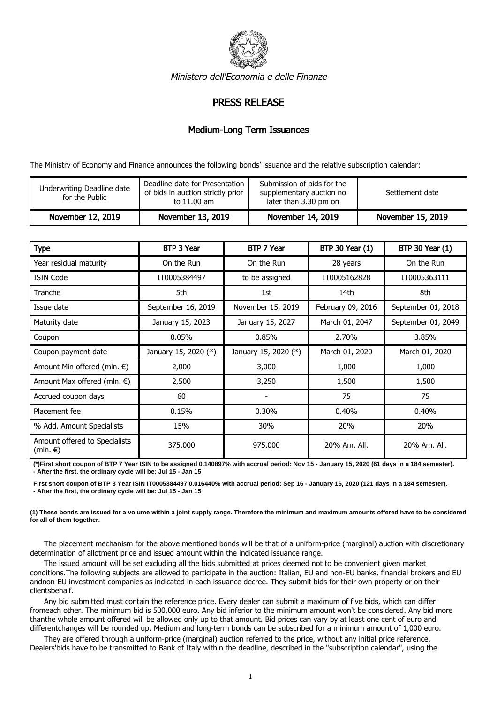

Ministero dell'Economia e delle Finanze

## PRESS RELEASE

## Medium-Long Term Issuances

The Ministry of Economy and Finance announces the following bonds' issuance and the relative subscription calendar:

| Underwriting Deadline date<br>for the Public | Deadline date for Presentation<br>of bids in auction strictly prior<br>to 11.00 am | Submission of bids for the<br>supplementary auction no<br>later than 3.30 pm on | Settlement date   |
|----------------------------------------------|------------------------------------------------------------------------------------|---------------------------------------------------------------------------------|-------------------|
| November 12, 2019                            | November 13, 2019                                                                  | November 14, 2019                                                               | November 15, 2019 |

| <b>Type</b>                               | BTP 3 Year           | BTP 7 Year           | <b>BTP 30 Year (1)</b> | <b>BTP 30 Year (1)</b> |
|-------------------------------------------|----------------------|----------------------|------------------------|------------------------|
| Year residual maturity                    | On the Run           | On the Run           | 28 years               | On the Run             |
| <b>ISIN Code</b>                          | IT0005384497         | to be assigned       | IT0005162828           | IT0005363111           |
| Tranche                                   | 5th                  | 1st                  | 14th                   | 8th                    |
| Issue date                                | September 16, 2019   | November 15, 2019    | February 09, 2016      | September 01, 2018     |
| Maturity date                             | January 15, 2023     | January 15, 2027     | March 01, 2047         | September 01, 2049     |
| Coupon                                    | 0.05%                | 0.85%                | 2.70%                  | 3.85%                  |
| Coupon payment date                       | January 15, 2020 (*) | January 15, 2020 (*) | March 01, 2020         | March 01, 2020         |
| Amount Min offered (mln. €)               | 2,000                | 3,000                | 1,000                  | 1,000                  |
| Amount Max offered (mln. $\epsilon$ )     | 2,500                | 3,250                | 1,500                  | 1,500                  |
| Accrued coupon days                       | 60                   |                      | 75                     | 75                     |
| Placement fee                             | 0.15%                | 0.30%                | 0.40%                  | 0.40%                  |
| % Add. Amount Specialists                 | 15%                  | 30%                  | 20%                    | 20%                    |
| Amount offered to Specialists<br>(mln. €) | 375,000              | 975.000              | 20% Am. All.           | 20% Am. All.           |

**(\*)First short coupon of BTP 7 Year ISIN to be assigned 0.140897% with accrual period: Nov 15 - January 15, 2020 (61 days in a 184 semester). - After the first, the ordinary cycle will be: Jul 15 - Jan 15**

**First short coupon of BTP 3 Year ISIN IT0005384497 0.016440% with accrual period: Sep 16 - January 15, 2020 (121 days in a 184 semester). - After the first, the ordinary cycle will be: Jul 15 - Jan 15**

**(1) These bonds are issued for a volume within a joint supply range. Therefore the minimum and maximum amounts offered have to be considered for all of them together.**

 The placement mechanism for the above mentioned bonds will be that of a uniform-price (marginal) auction with discretionary determination of allotment price and issued amount within the indicated issuance range.

 The issued amount will be set excluding all the bids submitted at prices deemed not to be convenient given market conditions.The following subjects are allowed to participate in the auction: Italian, EU and non-EU banks, financial brokers and EU andnon-EU investment companies as indicated in each issuance decree. They submit bids for their own property or on their clientsbehalf.

 Any bid submitted must contain the reference price. Every dealer can submit a maximum of five bids, which can differ fromeach other. The minimum bid is 500,000 euro. Any bid inferior to the minimum amount won't be considered. Any bid more thanthe whole amount offered will be allowed only up to that amount. Bid prices can vary by at least one cent of euro and differentchanges will be rounded up. Medium and long-term bonds can be subscribed for a minimum amount of 1,000 euro.

 They are offered through a uniform-price (marginal) auction referred to the price, without any initial price reference. Dealers'bids have to be transmitted to Bank of Italy within the deadline, described in the "subscription calendar", using the